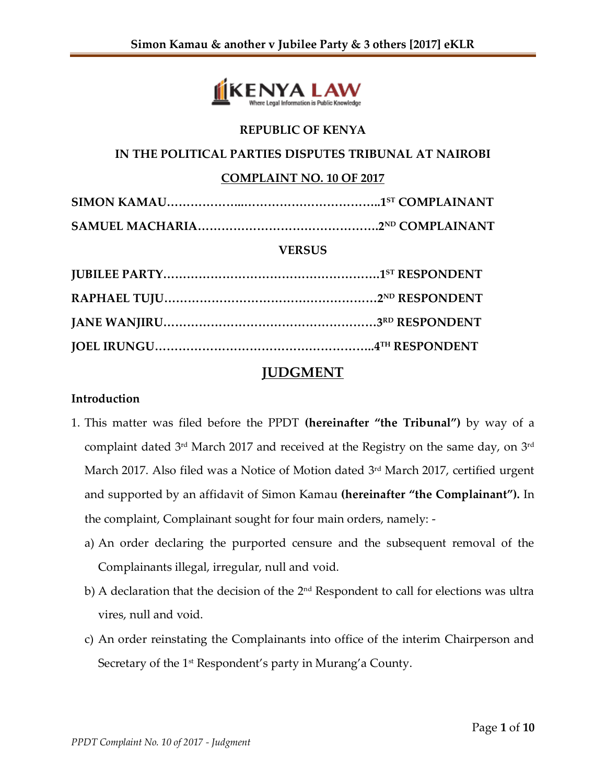

## **REPUBLIC OF KENYA**

#### **IN THE POLITICAL PARTIES DISPUTES TRIBUNAL AT NAIROBI**

### **COMPLAINT NO. 10 OF 2017**

### **VERSUS**

# **JUDGMENT**

## **Introduction**

- 1. This matter was filed before the PPDT **(hereinafter "the Tribunal")** by way of a complaint dated 3<sup>rd</sup> March 2017 and received at the Registry on the same day, on 3<sup>rd</sup> March 2017. Also filed was a Notice of Motion dated 3<sup>rd</sup> March 2017, certified urgent and supported by an affidavit of Simon Kamau **(hereinafter "the Complainant").** In the complaint, Complainant sought for four main orders, namely:
	- a) An order declaring the purported censure and the subsequent removal of the Complainants illegal, irregular, null and void.
	- b) A declaration that the decision of the 2nd Respondent to call for elections was ultra vires, null and void.
	- c) An order reinstating the Complainants into office of the interim Chairperson and Secretary of the 1<sup>st</sup> Respondent's party in Murang'a County.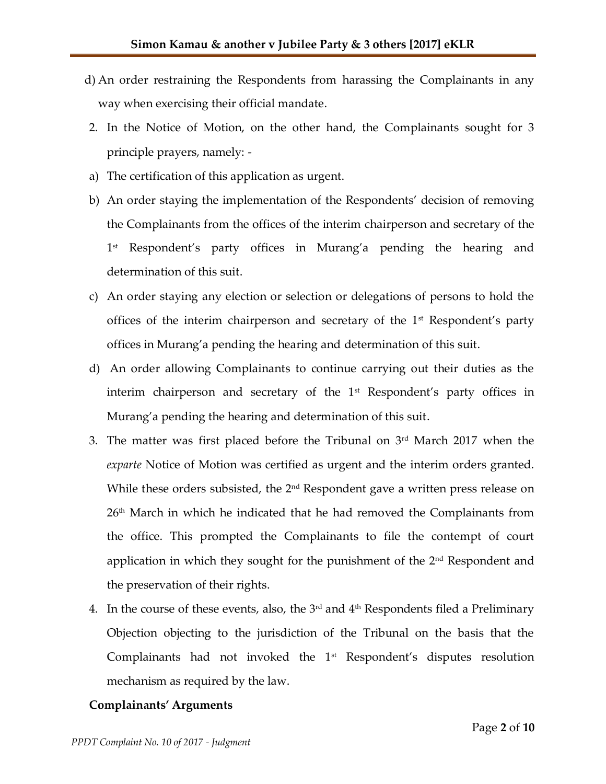- d) An order restraining the Respondents from harassing the Complainants in any way when exercising their official mandate.
- 2. In the Notice of Motion, on the other hand, the Complainants sought for 3 principle prayers, namely: -
- a) The certification of this application as urgent.
- b) An order staying the implementation of the Respondents' decision of removing the Complainants from the offices of the interim chairperson and secretary of the 1 st Respondent's party offices in Murang'a pending the hearing and determination of this suit.
- c) An order staying any election or selection or delegations of persons to hold the offices of the interim chairperson and secretary of the  $1<sup>st</sup>$  Respondent's party offices in Murang'a pending the hearing and determination of this suit.
- d) An order allowing Complainants to continue carrying out their duties as the interim chairperson and secretary of the 1<sup>st</sup> Respondent's party offices in Murang'a pending the hearing and determination of this suit.
- 3. The matter was first placed before the Tribunal on 3 rd March 2017 when the *exparte* Notice of Motion was certified as urgent and the interim orders granted. While these orders subsisted, the 2<sup>nd</sup> Respondent gave a written press release on 26<sup>th</sup> March in which he indicated that he had removed the Complainants from the office. This prompted the Complainants to file the contempt of court application in which they sought for the punishment of the 2<sup>nd</sup> Respondent and the preservation of their rights.
- 4. In the course of these events, also, the  $3<sup>rd</sup>$  and  $4<sup>th</sup>$  Respondents filed a Preliminary Objection objecting to the jurisdiction of the Tribunal on the basis that the Complainants had not invoked the  $1<sup>st</sup>$  Respondent's disputes resolution mechanism as required by the law.

# **Complainants' Arguments**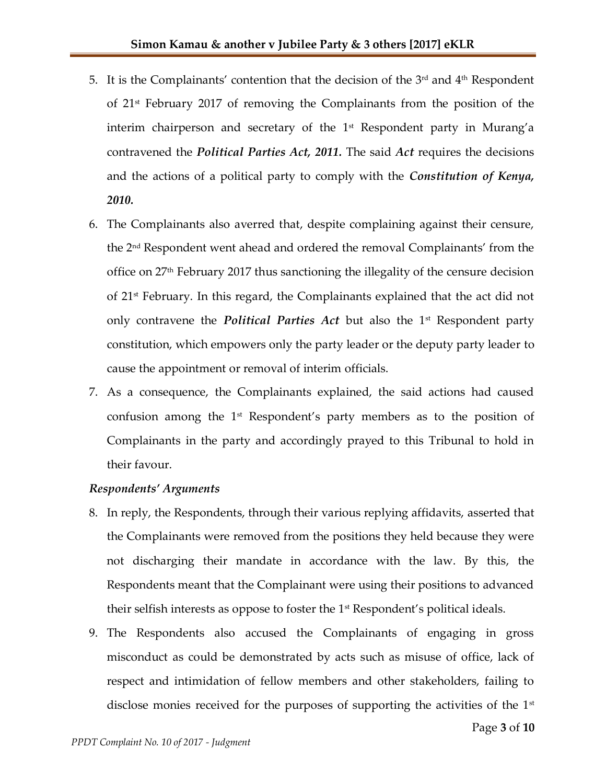- 5. It is the Complainants' contention that the decision of the  $3<sup>rd</sup>$  and  $4<sup>th</sup>$  Respondent of 21st February 2017 of removing the Complainants from the position of the interim chairperson and secretary of the 1<sup>st</sup> Respondent party in Murang'a contravened the *Political Parties Act, 2011.* The said *Act* requires the decisions and the actions of a political party to comply with the *Constitution of Kenya, 2010.*
- 6. The Complainants also averred that, despite complaining against their censure, the 2nd Respondent went ahead and ordered the removal Complainants' from the office on 27th February 2017 thus sanctioning the illegality of the censure decision of 21st February. In this regard, the Complainants explained that the act did not only contravene the *Political Parties Act* but also the 1<sup>st</sup> Respondent party constitution, which empowers only the party leader or the deputy party leader to cause the appointment or removal of interim officials.
- 7. As a consequence, the Complainants explained, the said actions had caused confusion among the 1<sup>st</sup> Respondent's party members as to the position of Complainants in the party and accordingly prayed to this Tribunal to hold in their favour.

# *Respondents' Arguments*

- 8. In reply, the Respondents, through their various replying affidavits, asserted that the Complainants were removed from the positions they held because they were not discharging their mandate in accordance with the law. By this, the Respondents meant that the Complainant were using their positions to advanced their selfish interests as oppose to foster the 1<sup>st</sup> Respondent's political ideals.
- 9. The Respondents also accused the Complainants of engaging in gross misconduct as could be demonstrated by acts such as misuse of office, lack of respect and intimidation of fellow members and other stakeholders, failing to disclose monies received for the purposes of supporting the activities of the  $1<sup>st</sup>$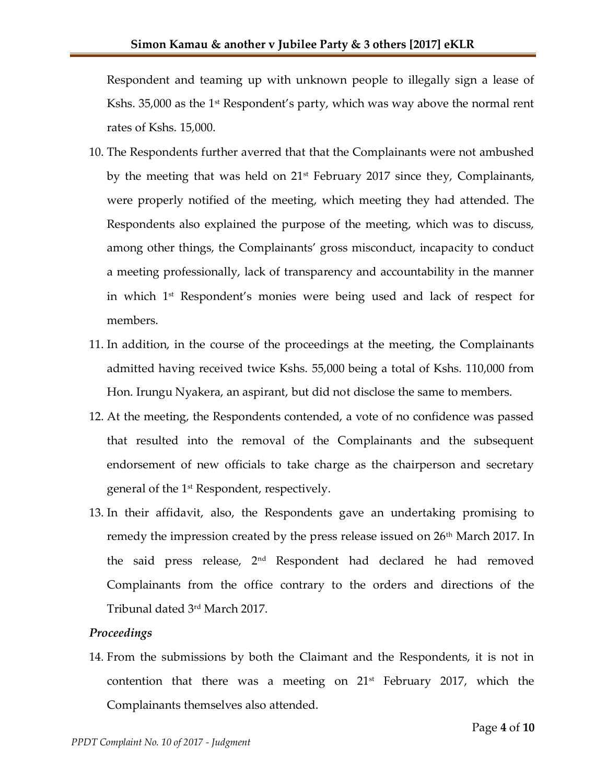Respondent and teaming up with unknown people to illegally sign a lease of Kshs. 35,000 as the 1<sup>st</sup> Respondent's party, which was way above the normal rent rates of Kshs. 15,000.

- 10. The Respondents further averred that that the Complainants were not ambushed by the meeting that was held on  $21<sup>st</sup>$  February 2017 since they, Complainants, were properly notified of the meeting, which meeting they had attended. The Respondents also explained the purpose of the meeting, which was to discuss, among other things, the Complainants' gross misconduct, incapacity to conduct a meeting professionally, lack of transparency and accountability in the manner in which 1 st Respondent's monies were being used and lack of respect for members.
- 11. In addition, in the course of the proceedings at the meeting, the Complainants admitted having received twice Kshs. 55,000 being a total of Kshs. 110,000 from Hon. Irungu Nyakera, an aspirant, but did not disclose the same to members.
- 12. At the meeting, the Respondents contended, a vote of no confidence was passed that resulted into the removal of the Complainants and the subsequent endorsement of new officials to take charge as the chairperson and secretary general of the 1st Respondent, respectively.
- 13. In their affidavit, also, the Respondents gave an undertaking promising to remedy the impression created by the press release issued on 26<sup>th</sup> March 2017. In the said press release, 2nd Respondent had declared he had removed Complainants from the office contrary to the orders and directions of the Tribunal dated 3rd March 2017.

## *Proceedings*

14. From the submissions by both the Claimant and the Respondents, it is not in contention that there was a meeting on  $21^{st}$  February 2017, which the Complainants themselves also attended.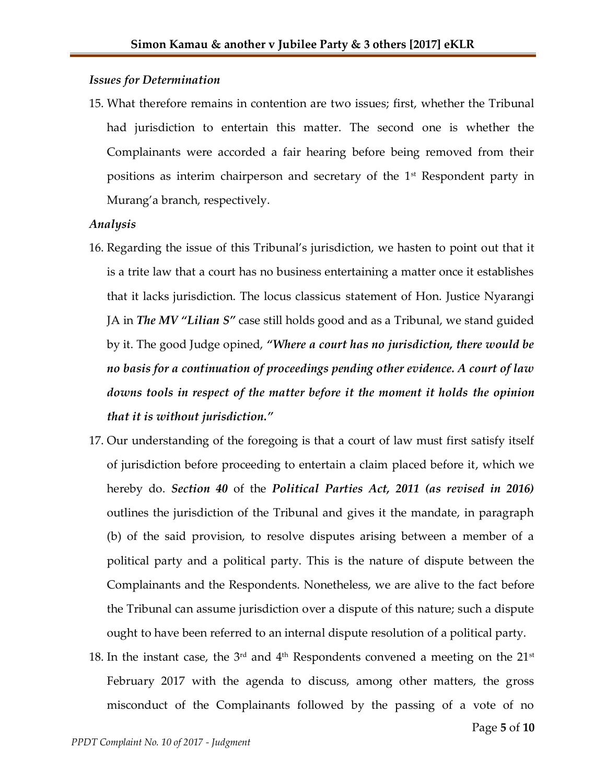#### *Issues for Determination*

15. What therefore remains in contention are two issues; first, whether the Tribunal had jurisdiction to entertain this matter. The second one is whether the Complainants were accorded a fair hearing before being removed from their positions as interim chairperson and secretary of the 1st Respondent party in Murang'a branch, respectively.

#### *Analysis*

- 16. Regarding the issue of this Tribunal's jurisdiction, we hasten to point out that it is a trite law that a court has no business entertaining a matter once it establishes that it lacks jurisdiction. The locus classicus statement of Hon. Justice Nyarangi JA in *The MV "Lilian S"* case still holds good and as a Tribunal, we stand guided by it. The good Judge opined, *"Where a court has no jurisdiction, there would be no basis for a continuation of proceedings pending other evidence. A court of law downs tools in respect of the matter before it the moment it holds the opinion that it is without jurisdiction."*
- 17. Our understanding of the foregoing is that a court of law must first satisfy itself of jurisdiction before proceeding to entertain a claim placed before it, which we hereby do. *Section 40* of the *Political Parties Act, 2011 (as revised in 2016)* outlines the jurisdiction of the Tribunal and gives it the mandate, in paragraph (b) of the said provision, to resolve disputes arising between a member of a political party and a political party. This is the nature of dispute between the Complainants and the Respondents. Nonetheless, we are alive to the fact before the Tribunal can assume jurisdiction over a dispute of this nature; such a dispute ought to have been referred to an internal dispute resolution of a political party.
- 18. In the instant case, the  $3<sup>rd</sup>$  and  $4<sup>th</sup>$  Respondents convened a meeting on the  $21<sup>st</sup>$ February 2017 with the agenda to discuss, among other matters, the gross misconduct of the Complainants followed by the passing of a vote of no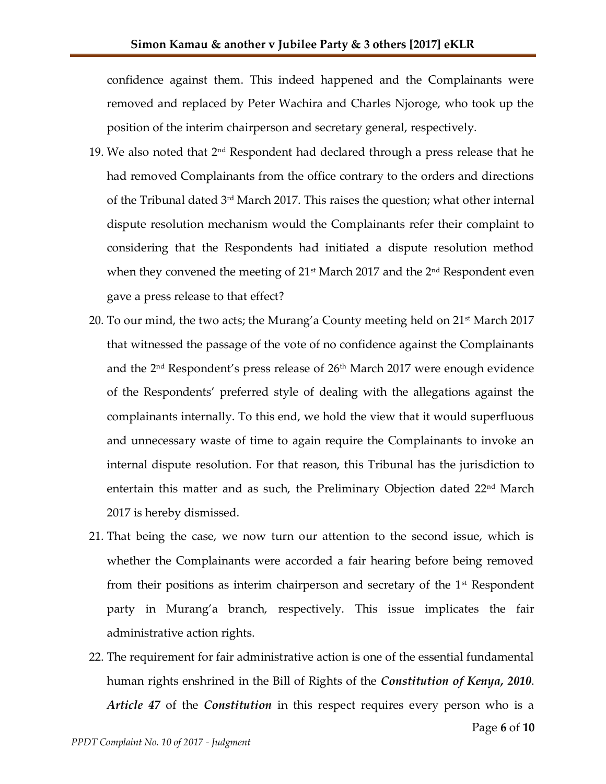confidence against them. This indeed happened and the Complainants were removed and replaced by Peter Wachira and Charles Njoroge, who took up the position of the interim chairperson and secretary general, respectively.

- 19. We also noted that  $2^{\text{nd}}$  Respondent had declared through a press release that he had removed Complainants from the office contrary to the orders and directions of the Tribunal dated 3<sup>rd</sup> March 2017. This raises the question; what other internal dispute resolution mechanism would the Complainants refer their complaint to considering that the Respondents had initiated a dispute resolution method when they convened the meeting of  $21<sup>st</sup>$  March 2017 and the  $2<sup>nd</sup>$  Respondent even gave a press release to that effect?
- 20. To our mind, the two acts; the Murang'a County meeting held on 21st March 2017 that witnessed the passage of the vote of no confidence against the Complainants and the  $2<sup>nd</sup>$  Respondent's press release of  $26<sup>th</sup>$  March 2017 were enough evidence of the Respondents' preferred style of dealing with the allegations against the complainants internally. To this end, we hold the view that it would superfluous and unnecessary waste of time to again require the Complainants to invoke an internal dispute resolution. For that reason, this Tribunal has the jurisdiction to entertain this matter and as such, the Preliminary Objection dated 22<sup>nd</sup> March 2017 is hereby dismissed.
- 21. That being the case, we now turn our attention to the second issue, which is whether the Complainants were accorded a fair hearing before being removed from their positions as interim chairperson and secretary of the  $1<sup>st</sup>$  Respondent party in Murang'a branch, respectively. This issue implicates the fair administrative action rights.
- 22. The requirement for fair administrative action is one of the essential fundamental human rights enshrined in the Bill of Rights of the *Constitution of Kenya, 2010*. *Article 47* of the *Constitution* in this respect requires every person who is a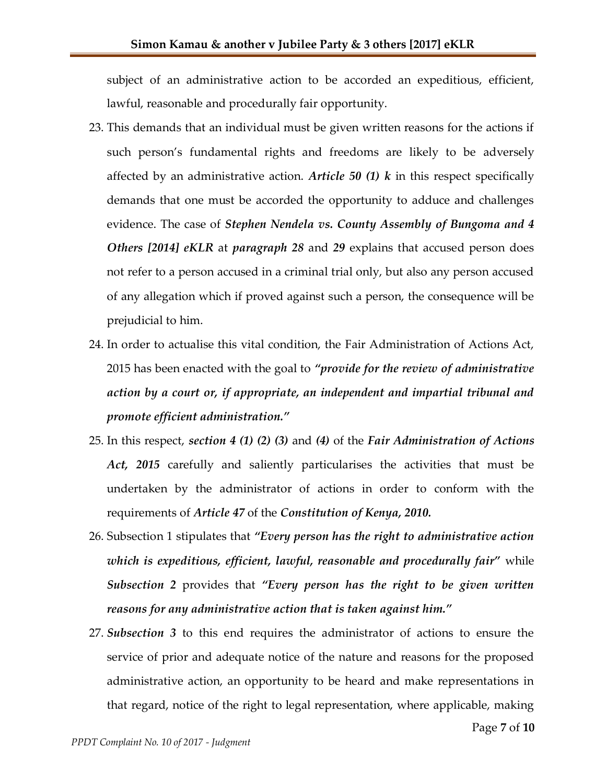subject of an administrative action to be accorded an expeditious, efficient, lawful, reasonable and procedurally fair opportunity.

- 23. This demands that an individual must be given written reasons for the actions if such person's fundamental rights and freedoms are likely to be adversely affected by an administrative action. *Article 50 (1) k* in this respect specifically demands that one must be accorded the opportunity to adduce and challenges evidence. The case of *Stephen Nendela vs. County Assembly of Bungoma and 4 Others [2014] eKLR* at *paragraph 28* and *29* explains that accused person does not refer to a person accused in a criminal trial only, but also any person accused of any allegation which if proved against such a person, the consequence will be prejudicial to him.
- 24. In order to actualise this vital condition, the Fair Administration of Actions Act, 2015 has been enacted with the goal to *"provide for the review of administrative action by a court or, if appropriate, an independent and impartial tribunal and promote efficient administration."*
- 25. In this respect, *section 4 (1) (2) (3)* and *(4)* of the *Fair Administration of Actions Act, 2015* carefully and saliently particularises the activities that must be undertaken by the administrator of actions in order to conform with the requirements of *Article 47* of the *Constitution of Kenya, 2010.*
- 26. Subsection 1 stipulates that *"Every person has the right to administrative action which is expeditious, efficient, lawful, reasonable and procedurally fair"* while *Subsection 2* provides that *"Every person has the right to be given written reasons for any administrative action that is taken against him."*
- 27. *Subsection 3* to this end requires the administrator of actions to ensure the service of prior and adequate notice of the nature and reasons for the proposed administrative action, an opportunity to be heard and make representations in that regard, notice of the right to legal representation, where applicable, making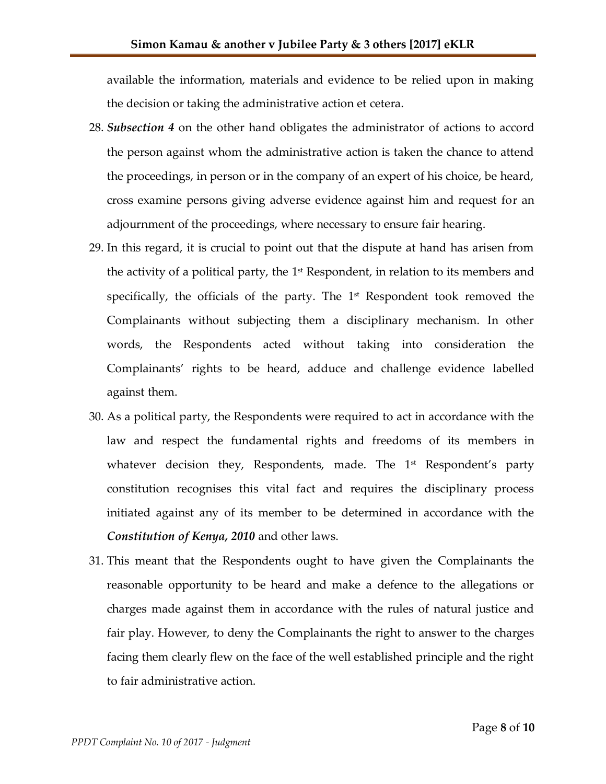available the information, materials and evidence to be relied upon in making the decision or taking the administrative action et cetera.

- 28. *Subsection 4* on the other hand obligates the administrator of actions to accord the person against whom the administrative action is taken the chance to attend the proceedings, in person or in the company of an expert of his choice, be heard, cross examine persons giving adverse evidence against him and request for an adjournment of the proceedings, where necessary to ensure fair hearing.
- 29. In this regard, it is crucial to point out that the dispute at hand has arisen from the activity of a political party, the  $1<sup>st</sup>$  Respondent, in relation to its members and specifically, the officials of the party. The  $1<sup>st</sup>$  Respondent took removed the Complainants without subjecting them a disciplinary mechanism. In other words, the Respondents acted without taking into consideration the Complainants' rights to be heard, adduce and challenge evidence labelled against them.
- 30. As a political party, the Respondents were required to act in accordance with the law and respect the fundamental rights and freedoms of its members in whatever decision they, Respondents, made. The 1<sup>st</sup> Respondent's party constitution recognises this vital fact and requires the disciplinary process initiated against any of its member to be determined in accordance with the *Constitution of Kenya, 2010* and other laws.
- 31. This meant that the Respondents ought to have given the Complainants the reasonable opportunity to be heard and make a defence to the allegations or charges made against them in accordance with the rules of natural justice and fair play. However, to deny the Complainants the right to answer to the charges facing them clearly flew on the face of the well established principle and the right to fair administrative action.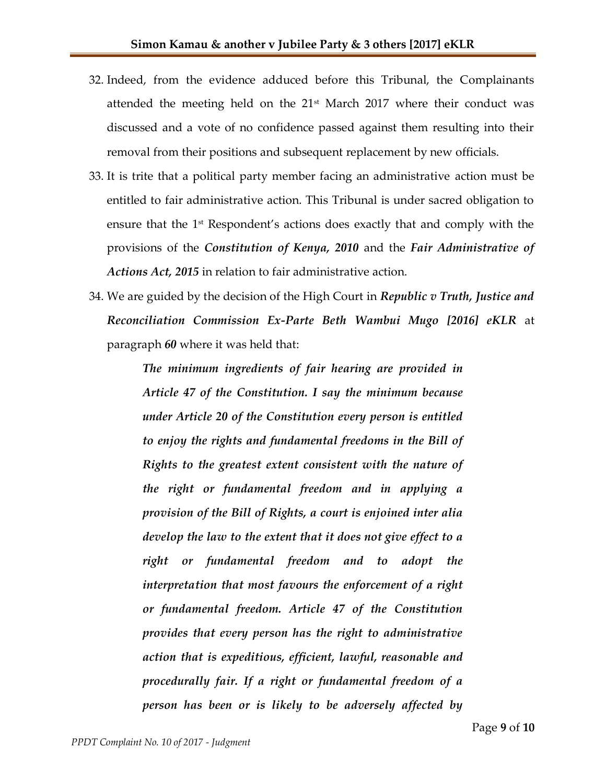- 32. Indeed, from the evidence adduced before this Tribunal, the Complainants attended the meeting held on the  $21<sup>st</sup>$  March 2017 where their conduct was discussed and a vote of no confidence passed against them resulting into their removal from their positions and subsequent replacement by new officials.
- 33. It is trite that a political party member facing an administrative action must be entitled to fair administrative action. This Tribunal is under sacred obligation to ensure that the 1<sup>st</sup> Respondent's actions does exactly that and comply with the provisions of the *Constitution of Kenya, 2010* and the *Fair Administrative of Actions Act, 2015* in relation to fair administrative action.
- 34. We are guided by the decision of the High Court in *Republic v Truth, Justice and Reconciliation Commission Ex-Parte Beth Wambui Mugo [2016] eKLR* at paragraph *60* where it was held that:

*The minimum ingredients of fair hearing are provided in Article 47 of the Constitution. I say the minimum because under Article 20 of the Constitution every person is entitled to enjoy the rights and fundamental freedoms in the Bill of Rights to the greatest extent consistent with the nature of the right or fundamental freedom and in applying a provision of the Bill of Rights, a court is enjoined inter alia develop the law to the extent that it does not give effect to a right or fundamental freedom and to adopt the interpretation that most favours the enforcement of a right or fundamental freedom. Article 47 of the Constitution provides that every person has the right to administrative action that is expeditious, efficient, lawful, reasonable and procedurally fair. If a right or fundamental freedom of a person has been or is likely to be adversely affected by*